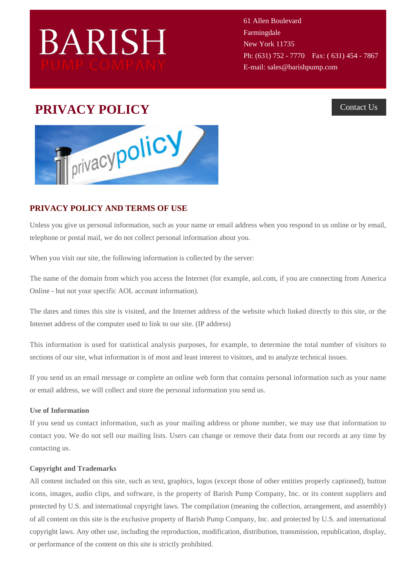# **BARISH**

61 Allen Boulevard Farmingdale New York 11735 Ph: (631) 752 - 7770 Fax: (631) 454 - 7867 E-mail: sales@barishpump.com

## **PRIVACY POLICY** [Contact Us](http://www.barishpump.com/contact)



### **PRIVACY POLICY AND TERMS OF USE**

Unless you give us personal information, such as your name or email address when you respond to us online or by email, telephone or postal mail, we do not collect personal information about you.

When you visit our site, the following information is collected by the server:

The name of the domain from which you access the Internet (for example, aol.com, if you are connecting from America Online - but not your specific AOL account information).

The dates and times this site is visited, and the Internet address of the website which linked directly to this site, or the Internet address of the computer used to link to our site. (IP address)

This information is used for statistical analysis purposes, for example, to determine the total number of visitors to sections of our site, what information is of most and least interest to visitors, and to analyze technical issues.

If you send us an email message or complete an online web form that contains personal information such as your name or email address, we will collect and store the personal information you send us.

#### **Use of Information**

If you send us contact information, such as your mailing address or phone number, we may use that information to contact you. We do not sell our mailing lists. Users can change or remove their data from our records at any time by contacting us.

#### **Copyright and Trademarks**

All content included on this site, such as text, graphics, logos (except those of other entities properly captioned), button icons, images, audio clips, and software, is the property of Barish Pump Company, Inc. or its content suppliers and protected by U.S. and international copyright laws. The compilation (meaning the collection, arrangement, and assembly) of all content on this site is the exclusive property of Barish Pump Company, Inc. and protected by U.S. and international copyright laws. Any other use, including the reproduction, modification, distribution, transmission, republication, display, or performance of the content on this site is strictly prohibited.